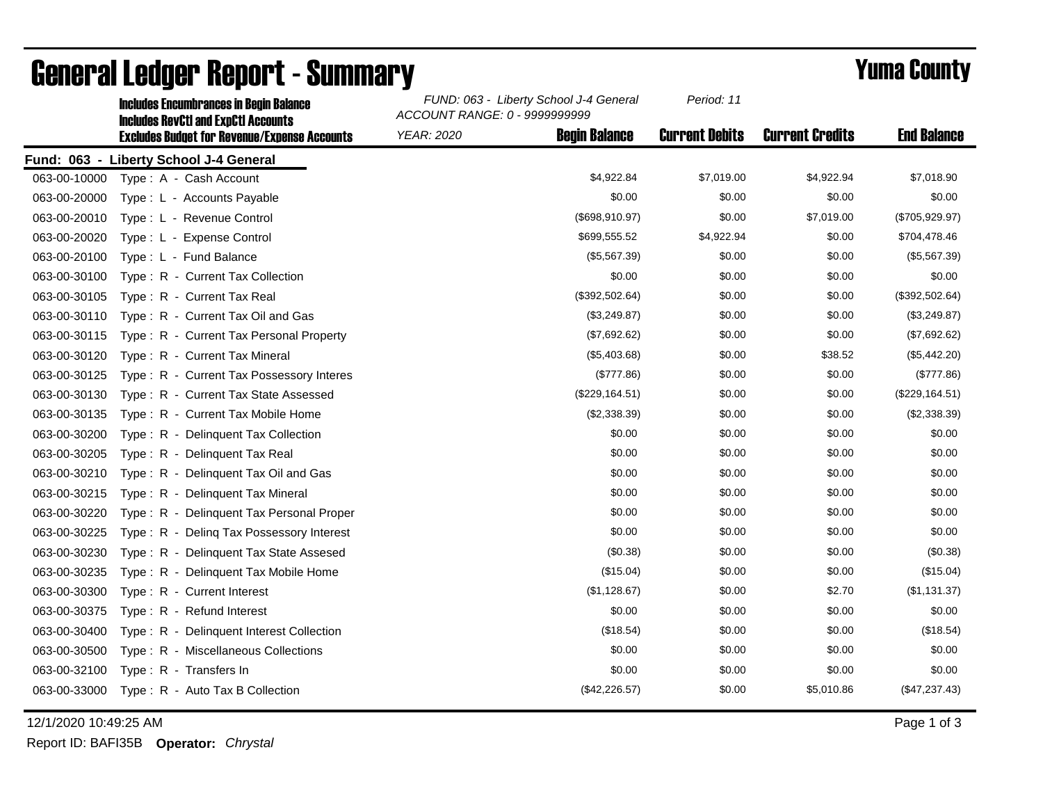|              | <b>Includes Encumbrances in Begin Balance</b><br><b>Includes RevCtI and ExpCtI Accounts</b> | FUND: 063 - Liberty School J-4 General<br>ACCOUNT RANGE: 0 - 9999999999 |                      | Period: 11            |                        |                    |
|--------------|---------------------------------------------------------------------------------------------|-------------------------------------------------------------------------|----------------------|-----------------------|------------------------|--------------------|
|              | <b>Excludes Budget for Revenue/Expense Accounts</b>                                         | <b>YEAR: 2020</b>                                                       | <b>Begin Balance</b> | <b>Current Debits</b> | <b>Current Credits</b> | <b>End Balance</b> |
|              | Fund: 063 - Liberty School J-4 General                                                      |                                                                         |                      |                       |                        |                    |
| 063-00-10000 | Type: A - Cash Account                                                                      |                                                                         | \$4,922.84           | \$7,019.00            | \$4,922.94             | \$7,018.90         |
| 063-00-20000 | Type: L - Accounts Payable                                                                  |                                                                         | \$0.00               | \$0.00                | \$0.00                 | \$0.00             |
| 063-00-20010 | Type: L - Revenue Control                                                                   |                                                                         | (\$698,910.97)       | \$0.00                | \$7,019.00             | (\$705,929.97)     |
| 063-00-20020 | Type: L - Expense Control                                                                   |                                                                         | \$699,555.52         | \$4,922.94            | \$0.00                 | \$704,478.46       |
| 063-00-20100 | Type: L - Fund Balance                                                                      |                                                                         | (\$5,567.39)         | \$0.00                | \$0.00                 | (\$5,567.39)       |
| 063-00-30100 | Type: R - Current Tax Collection                                                            |                                                                         | \$0.00               | \$0.00                | \$0.00                 | \$0.00             |
| 063-00-30105 | Type: R - Current Tax Real                                                                  |                                                                         | (\$392,502.64)       | \$0.00                | \$0.00                 | (\$392,502.64)     |
| 063-00-30110 | Type: R - Current Tax Oil and Gas                                                           |                                                                         | (\$3,249.87)         | \$0.00                | \$0.00                 | (\$3,249.87)       |
| 063-00-30115 | Type: R - Current Tax Personal Property                                                     |                                                                         | (\$7,692.62)         | \$0.00                | \$0.00                 | (\$7,692.62)       |
| 063-00-30120 | Type: R - Current Tax Mineral                                                               |                                                                         | (\$5,403.68)         | \$0.00                | \$38.52                | (\$5,442.20)       |
| 063-00-30125 | Type: R - Current Tax Possessory Interes                                                    |                                                                         | (\$777.86)           | \$0.00                | \$0.00                 | (\$777.86)         |
| 063-00-30130 | Type: R - Current Tax State Assessed                                                        |                                                                         | (\$229, 164.51)      | \$0.00                | \$0.00                 | (\$229, 164.51)    |
| 063-00-30135 | Type: R - Current Tax Mobile Home                                                           |                                                                         | (\$2,338.39)         | \$0.00                | \$0.00                 | (\$2,338.39)       |
| 063-00-30200 | Type: R - Delinquent Tax Collection                                                         |                                                                         | \$0.00               | \$0.00                | \$0.00                 | \$0.00             |
| 063-00-30205 | Type: R - Delinquent Tax Real                                                               |                                                                         | \$0.00               | \$0.00                | \$0.00                 | \$0.00             |
| 063-00-30210 | Type: R - Delinquent Tax Oil and Gas                                                        |                                                                         | \$0.00               | \$0.00                | \$0.00                 | \$0.00             |
| 063-00-30215 | Type: R - Delinquent Tax Mineral                                                            |                                                                         | \$0.00               | \$0.00                | \$0.00                 | \$0.00             |
| 063-00-30220 | Type: R - Delinguent Tax Personal Proper                                                    |                                                                         | \$0.00               | \$0.00                | \$0.00                 | \$0.00             |
| 063-00-30225 | Type: R - Deling Tax Possessory Interest                                                    |                                                                         | \$0.00               | \$0.00                | \$0.00                 | \$0.00             |
| 063-00-30230 | Type: R - Delinquent Tax State Assesed                                                      |                                                                         | (\$0.38)             | \$0.00                | \$0.00                 | (\$0.38)           |
| 063-00-30235 | Type: R - Delinquent Tax Mobile Home                                                        |                                                                         | (\$15.04)            | \$0.00                | \$0.00                 | (\$15.04)          |
| 063-00-30300 | Type: R - Current Interest                                                                  |                                                                         | (\$1,128.67)         | \$0.00                | \$2.70                 | (\$1,131.37)       |
| 063-00-30375 | Type: R - Refund Interest                                                                   |                                                                         | \$0.00               | \$0.00                | \$0.00                 | \$0.00             |
| 063-00-30400 | Type: R - Delinquent Interest Collection                                                    |                                                                         | (\$18.54)            | \$0.00                | \$0.00                 | (\$18.54)          |
| 063-00-30500 | Type: R - Miscellaneous Collections                                                         |                                                                         | \$0.00               | \$0.00                | \$0.00                 | \$0.00             |
| 063-00-32100 | Type: R - Transfers In                                                                      |                                                                         | \$0.00               | \$0.00                | \$0.00                 | \$0.00             |
| 063-00-33000 | Type: R - Auto Tax B Collection                                                             |                                                                         | (\$42,226.57)        | \$0.00                | \$5,010.86             | (\$47,237.43)      |

## General Ledger Report - Summary **Example 2018** Yuma County

12/1/2020 10:49:25 AM Page 1 of 3

Report ID: BAFI35B **Operator:** *Chrystal*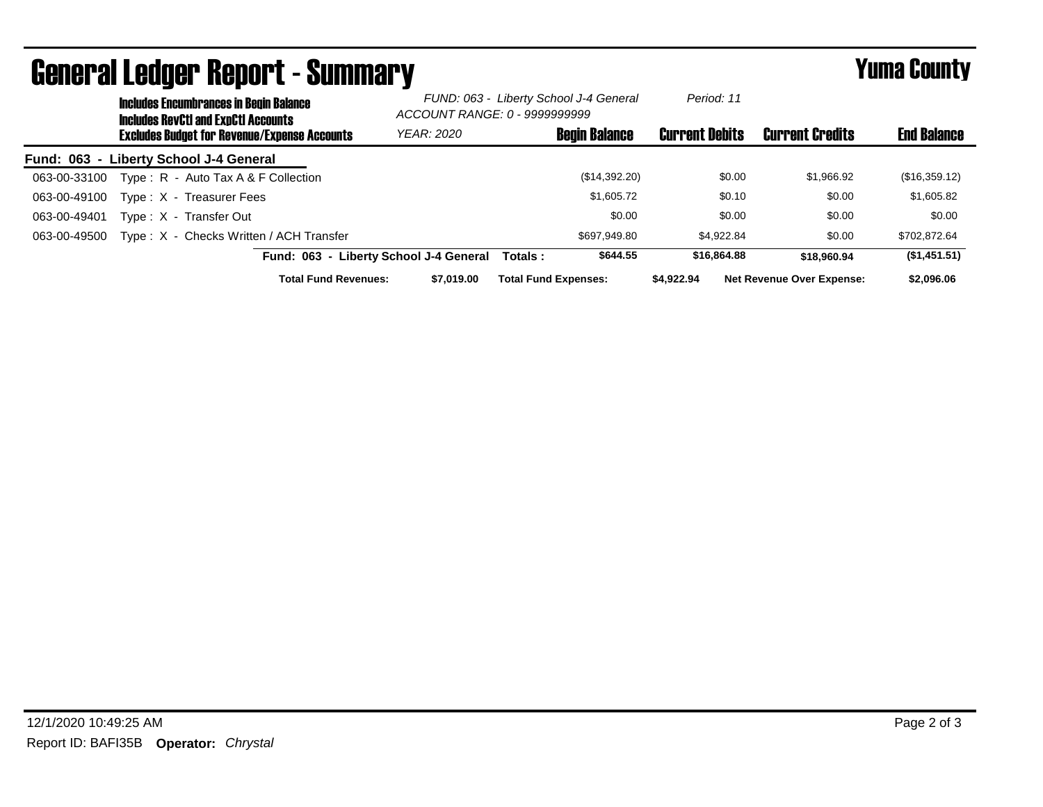| <b>General Ledger Report - Summary</b>              |                                                                                      |                                        |                                                                         |                             |               | Yuma County           |                                  |                    |
|-----------------------------------------------------|--------------------------------------------------------------------------------------|----------------------------------------|-------------------------------------------------------------------------|-----------------------------|---------------|-----------------------|----------------------------------|--------------------|
|                                                     | <b>Includes Encumbrances in Begin Balance</b><br>Includes RevCtI and ExpCtI Accounts |                                        | FUND: 063 - Liberty School J-4 General<br>ACCOUNT RANGE: 0 - 9999999999 |                             | Period: 11    |                       |                                  |                    |
| <b>Excludes Budget for Revenue/Expense Accounts</b> |                                                                                      |                                        | YEAR: 2020                                                              | <b>Begin Balance</b>        |               | <b>Current Debits</b> | <b>Current Credits</b>           | <b>End Balance</b> |
|                                                     | Fund: 063 - Liberty School J-4 General                                               |                                        |                                                                         |                             |               |                       |                                  |                    |
| 063-00-33100                                        | Type: R - Auto Tax A & F Collection                                                  |                                        |                                                                         |                             | (\$14,392.20) |                       | \$0.00<br>\$1,966.92             | (\$16,359.12)      |
| 063-00-49100                                        | Type: X - Treasurer Fees                                                             |                                        |                                                                         |                             | \$1,605.72    |                       | \$0.00<br>\$0.10                 | \$1,605.82         |
| 063-00-49401                                        | Type: X - Transfer Out                                                               |                                        |                                                                         |                             | \$0.00        |                       | \$0.00<br>\$0.00                 | \$0.00             |
| 063-00-49500                                        | Type: X - Checks Written / ACH Transfer                                              |                                        |                                                                         |                             | \$697,949.80  | \$4,922.84            | \$0.00                           | \$702,872.64       |
|                                                     |                                                                                      | Fund: 063 - Liberty School J-4 General |                                                                         | Totals:                     | \$644.55      | \$16,864.88           | \$18,960.94                      | (\$1,451.51)       |
|                                                     |                                                                                      | <b>Total Fund Revenues:</b>            | \$7,019.00                                                              | <b>Total Fund Expenses:</b> |               | \$4,922.94            | <b>Net Revenue Over Expense:</b> | \$2,096.06         |